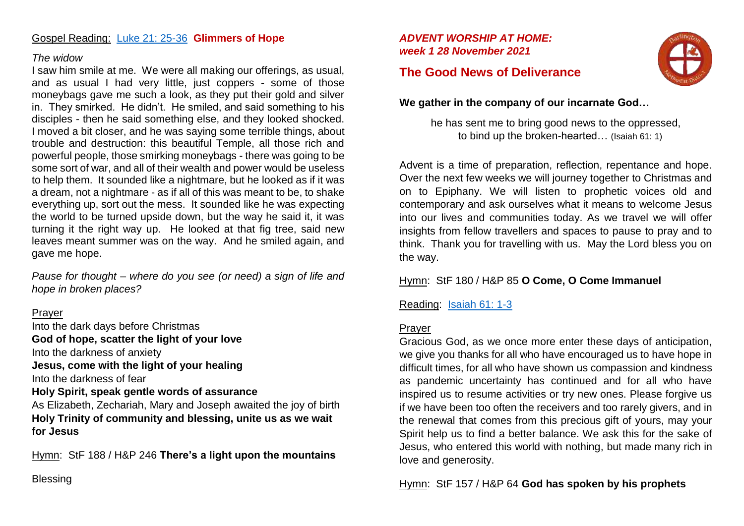### Gospel Reading: [Luke 21: 25-36](https://bible.oremus.org/?ql=502707887) **Glimmers of Hope**

### *The widow*

I saw him smile at me. We were all making our offerings, as usual, and as usual I had very little, just coppers - some of those moneybags gave me such a look, as they put their gold and silver in. They smirked. He didn't. He smiled, and said something to his disciples - then he said something else, and they looked shocked. I moved a bit closer, and he was saying some terrible things, about trouble and destruction: this beautiful Temple, all those rich and powerful people, those smirking moneybags - there was going to be some sort of war, and all of their wealth and power would be useless to help them. It sounded like a nightmare, but he looked as if it was a dream, not a nightmare - as if all of this was meant to be, to shake everything up, sort out the mess. It sounded like he was expecting the world to be turned upside down, but the way he said it, it was turning it the right way up. He looked at that fig tree, said new leaves meant summer was on the way. And he smiled again, and gave me hope.

*Pause for thought – where do you see (or need) a sign of life and hope in broken places?*

## Prayer

Into the dark days before Christmas **God of hope, scatter the light of your love** Into the darkness of anxiety **Jesus, come with the light of your healing** Into the darkness of fear **Holy Spirit, speak gentle words of assurance**  As Elizabeth, Zechariah, Mary and Joseph awaited the joy of birth **Holy Trinity of community and blessing, unite us as we wait for Jesus**

Hymn: StF 188 / H&P 246 **There's a light upon the mountains**

# *ADVENT WORSHIP AT HOME: week 1 28 November 2021*



# **The Good News of Deliverance**

**We gather in the company of our incarnate God…**

he has sent me to bring good news to the oppressed, to bind up the broken-hearted… (Isaiah 61: 1)

Advent is a time of preparation, reflection, repentance and hope. Over the next few weeks we will journey together to Christmas and on to Epiphany. We will listen to prophetic voices old and contemporary and ask ourselves what it means to welcome Jesus into our lives and communities today. As we travel we will offer insights from fellow travellers and spaces to pause to pray and to think. Thank you for travelling with us. May the Lord bless you on the way.

### Hymn: StF 180 / H&P 85 **O Come, O Come Immanuel**

Reading: [Isaiah 61: 1-3](https://bible.oremus.org/?ql=502707064)

### Prayer

Gracious God, as we once more enter these days of anticipation, we give you thanks for all who have encouraged us to have hope in difficult times, for all who have shown us compassion and kindness as pandemic uncertainty has continued and for all who have inspired us to resume activities or try new ones. Please forgive us if we have been too often the receivers and too rarely givers, and in the renewal that comes from this precious gift of yours, may your Spirit help us to find a better balance. We ask this for the sake of Jesus, who entered this world with nothing, but made many rich in love and generosity.

Hymn: StF 157 / H&P 64 **God has spoken by his prophets** 

Blessing